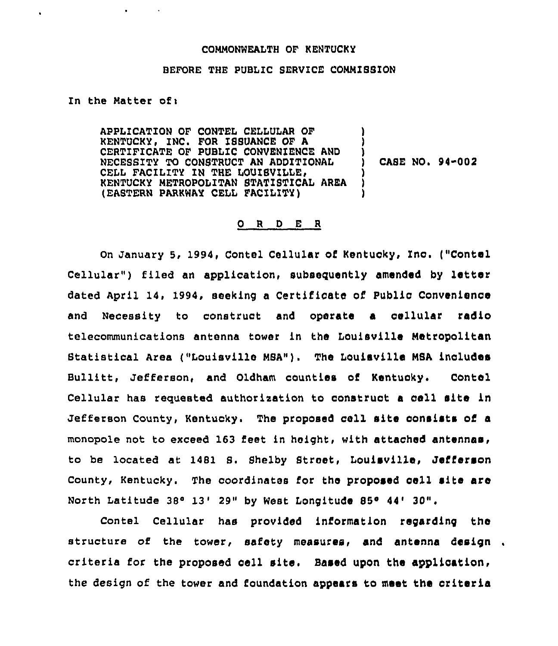## COMMONWEALTH OF KENTUCKY

## BEFORE THE PUBLIC SERVICE CONNIBBION

In the Matter of:

 $\blacksquare$ 

APPLICATION OF CONTEL CELLULAR OF ) KENTUCKY, INC. FOR ISBUANCE OF A ) CERTIFICATE OF PUBLIC CONVENIENCE ANU ) NECESSITY TO CONSTRUCT AN ADDITIONAL ) CELL FACILITY IN THE LOUISVILLE, (2)<br>KENTUCKY METROPOLITAN STATISTICAL AREA KENTUCKY NETROPOLITAN STATI8TICAL AREA ) (EASTERN PARKWAY CELL FACILITY) CASE NO. 94-002

## 0 <sup>R</sup> <sup>D</sup> E <sup>R</sup>

On January 5, 1994, Contel Cellular of Kentucky, Inc. ("Contel Cellular") filed an application, subsequently amended by letter dated April 14, 1994, seeking a Certificate of Public Convenience and Necessity to construct and operate a cellular radio telecommunications antenna tower in the Louisville Metropolitan Statistical Area ("Louisville MSA"). The Louisville MSA includes Bullitt, Jefferson, and Oldham counties of Kentucky. Contel Cellular hae requested authorisation to construct <sup>a</sup> cell site in Jefferson County, Kentucky. The proposed cell site consists of a monopole not to exceed 163 feet in height, with attached antennas, to be located at 1481 8. Shelby Street, Louisville, Jefferson County, Kentucky. The coordinates for the proposed cell site are North Latitude  $38^{\circ}$  13' 29" by West Longitude 85 $^{\circ}$  44' 30",

Contel Cellular hae provided information regarding the structure of the tower, safety measures, and antenna design. criteria for the proposed cell site. Based upon the application, the design of the tower and foundation appears to meet the oriteria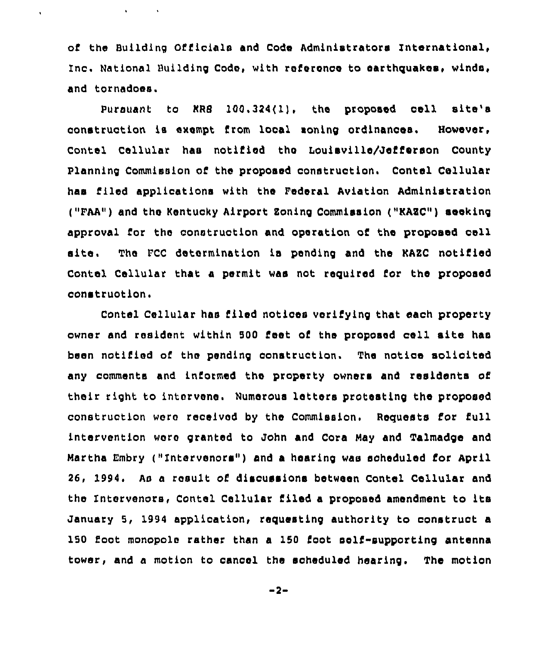of the Building Officials and Code Administrators International, Inc. National Building Code, with reference to earthquakes, winds, and tornadoes.

 $\ddot{\phantom{0}}$ 

Pursuant to KR8 100,324(1), the proposed cell site's construction ia exempt from local soning ordinances. However, Contel Cellular has notified the Louisville/Jefferson County Planning Commission of the proposed construction. Contel Cellular has filed applications with the Federal Aviation Administration ("FAA") and the Kentucky Airport Boning Commission (vKAEC") seeking approval for the construction and operation of the proposed cell site. The FCC determination ie pending and the KAZC notified Contel Cellular that a permit was not required for the proposed construction.

Contel Cellular has filed notices verifying that each property owner and resident within <sup>500</sup> feet of the proposed cell site has been notified of the pending construction. The notice solicited any comments and informed the property owners and residents of their right to intervene. Numerous letters protesting the proposed construction werc received by the Commission. Requests for full intervention were granted to John and Cora May and Talmadge and Martha Embry ("Intervenors") and a hearing was scheduled for April 26, 1994. As a result of disoussions between Contel Cellular and the Intervenors, Contel Cellular Riled <sup>a</sup> proposed amendment to its January 5, 1994 application, requesting authority to construct a 150 foot monopole rather than a 150 foot self-supporting antenna tower, and a motion to cancel the scheduled hearing. The motion

 $-2-$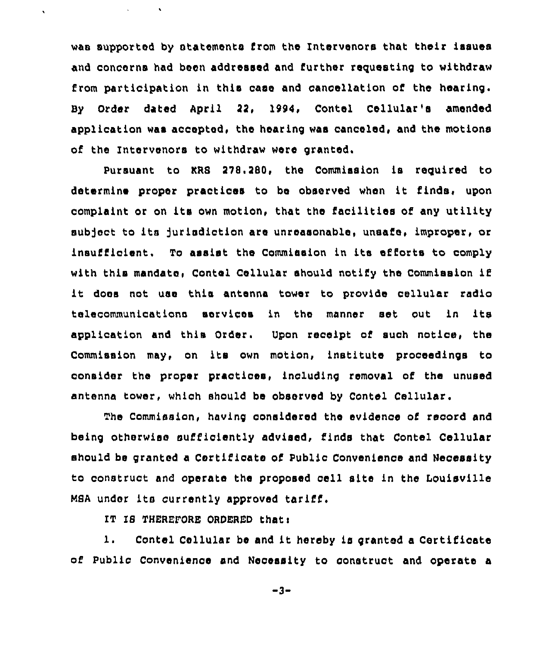was supported by atatementa from the Intervenors that their issues and concerns had been addressed and further requesting to withdraw from participation in this case and cancellation of the hearing. By Order dated April 22, 1994, Contel Cellular's amended application was accepted, the hearing was canceled, and the motions of the Intervenors to withdraw were granted.

Pursuant to KRS 278,280, the Commission is required to determine proper practices to be observed when it finds, upon complaint or on its own motion, that the facilities of any utility subject to its jurisdiction are unreasonable, unsafe, improper, or insufficient. To assist the Commission in its efforts to comply with this mandate. Contel Cellular should notify the Commission if it does not use this antenna tower to provide cellular radio telecommunications services in the manner set out in its application and this Order. Upon receipt of such notice, the Commission may, on its own motion, institute proceedings to consider the proper practices, including removal of the unused antenna tower, which should be observed by Contel Cellular.

The Commission, having considered the evidence of record and being otherwise sufficiently advised, finds that Contel Cellular should be granted a Certificate of Public Convenience and Necessity to construct and operate the proposed cell site in the Louisville NSA under its currently approved tariff.

IT IS THEREFORE ORDERED that:

 $\ddot{\phantom{a}}$ 

1. Contel Cellular be and it hereby is granted <sup>a</sup> Certificate of Public Convenience and Necessity to construct and operate a

 $-3-$